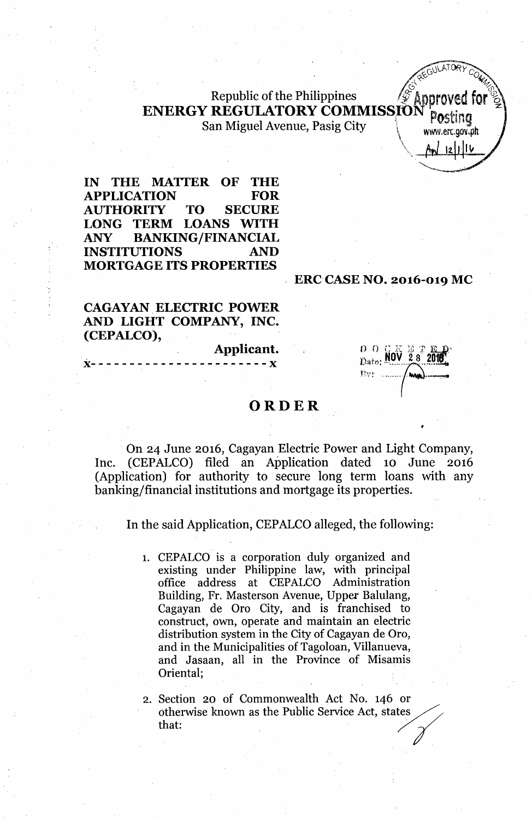### Republic of the Philippines ENERGY REGULATORY COMMISSION San Miguel Avenue, Pasig City  $\mathbb{R}$  www.erc.gov.pt

IN THE MATTER OF THE APPLICATION FOR AUTHORITY TO SECURE LONG TERM LOANS WITH ANY BANKING/FINANCIAL INSTITUTIONS AND MORTGAGE ITS PROPERTIES

#### ERC-CASE NO. 2016-019 MC

" *x-G\)\J<JORyco '*  $\sim$   $\sim$ *(')' I~*

 $\sqrt{\frac{2}{12}}$ 

~---,~

#### **CAGAYAN ELECTRIC POWER** AND LIGHT COMPANY, INC. (CEPALCO).

Applicant.

# D O NOV 28 2016

•

## **ORDER**

. On 24 June 2016, Cagayan Electric Power and Light Company, Inc. (CEPALCO) filed an Application dated 10 June 2016 (Application) for authority to secure long term loans with any banking/financial institutions and mortgage its properties.

In the said Application, CEPALCO alleged, the following:

1. CEPALCO is a corporation duly organized and existing under Philippine law, with principal office address at CEPALCO Administration Building, Fr. Masterson Avenue, Upper Balulang, Cagayan de Oro City, and is franchised to construct, own, operate and maintain an electric distribution system in the City of Cagayan de Oro, and in the Municipalities of Tagoloan, Villanueva, and Jasaan, all in the Province of Misamis Oriental;

2. Section 20 of Commonwealth Act No. 146 or otherwise known as the Public Service Act, states that:  $\angle$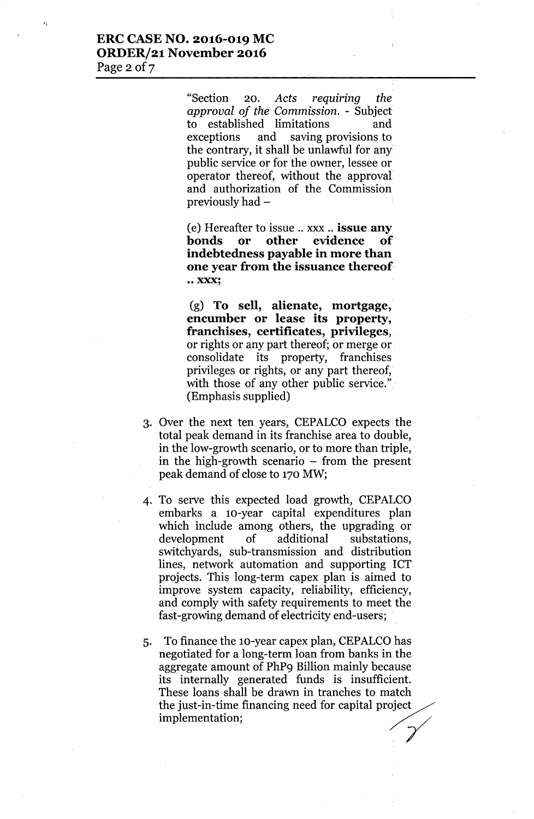"Section 20. Acts requiring the *approval of the Commission. -* Subject to established limitations and exceptions and saving provisions to the contrary, it shall be unlawful for any: public service or for the owner, lessee or operator thereof, without the approval and authorization of the Commission previously had  $-$ 

(e) Hereafter to issue .. xxx .. **issue** any, **bonds or other evidence of indebtedness payable in more than one year from the issuance thereof •• XXX;**

(g) **To sell, alienate, mortgage,. encumber or lease its property, franchises, certificates, privileges,** or rights or any part thereof; or merge or consolidate its property, franchises privileges or rights, or any part thereof, with those of any other public service." (Emphasis supplied)

- 3. Over the next ten years, CEPALCO expects. the total peak demand in its franchise area to double, in the low-growth scenario, or to more than triple, in the high-growth scenario  $-$  from the present peak demand of close to 170 MW;
- 4. To serve this expected load growth, CEPALCO embarks a 10-year capital expenditures plan which include among others, the upgrading or development of additional substations, switchyards, sub-transmission and distribution lines, network automation and supporting lCT projects. This long-term capex plan is aimed to improve system capacity, reliability, efficiency, and comply with safety requirements to meet the fast-growing demand of electricity end-users;
- 5. To finance the 10-year capex plan, CEPALCO has negotiated for a long-term loan from banks in the aggregate amount of PhPg Billion mainly because its internally generated funds is insufficient. These loans shall be drawn in tranches to match the just-in-time financing need for capital project<br>implementation;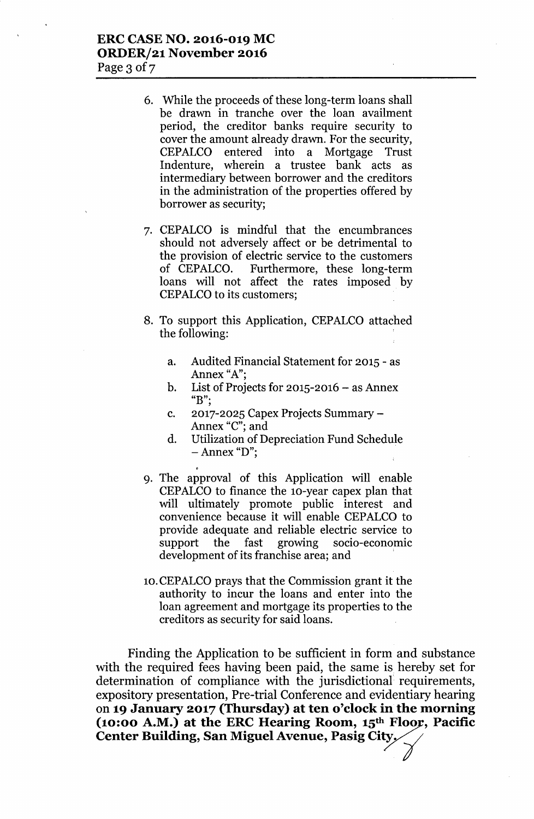- 6. While the proceeds of these long-term loans shall be drawn in tranche over the loan availment period, the creditor banks require security to cover the amount already drawn. For the security, CEPALCO entered into a Mortgage Trust Indenture, wherein a trustee bank acts as intermediary between borrower and the creditors in the administration of the properties offered by borrower as security;
- 7. CEPALCO is mindful that the encumbrances should not adversely affect or be detrimental to the provision of electric service to the customers of CEPALCO. Furthermore, these long-term loans will not affect the rates imposed by CEPALCO to its customers;
- 8. To support this Application, CEPALCO attached the following:
	- a. Audited Financial Statement for 2015 as Annex "A";
	- b. List of Projects for 2015-2016 as Annex **"B".**,
	- c. 2017-2025 Capex Projects Summary-Annex "C"; and
	- d. Utilization of Depreciation Fund Schedule  $-$  Annex "D"; ,
- 9. The approval of this Application will enable CEPALCO to finance the 10-year capex plan that will ultimately promote public interest and convenience because it will enable CEPALCO to provide adequate and reliable electric service to support the fast growing socio-economic development of its franchise area; and
- 10. CEPALCO prays that the Commission grant it the authority to incur the loans and enter into the loan agreement and mortgage its properties to the creditors as security for said loans.

Finding the Application to be sufficient in form and substance with the required fees having been paid, the same is hereby set for determination of compliance with the jurisdictional requirements, expository presentation, Pre-trial Conference and evidentiary hearing on **19 January 2017 (Thursday) at ten o'clock** in the **morning (10:00 A.M.) at the ERC Hearing Room, 15th**~~l~, **Pacific** determination of comphance with the jurisdictional requests expository presentation, Pre-trial Conference and evidentiar on 19 January 2017 (Thursday) at ten o'clock in the relation (10:00 A.M.) at the ERC Hearing Room, 15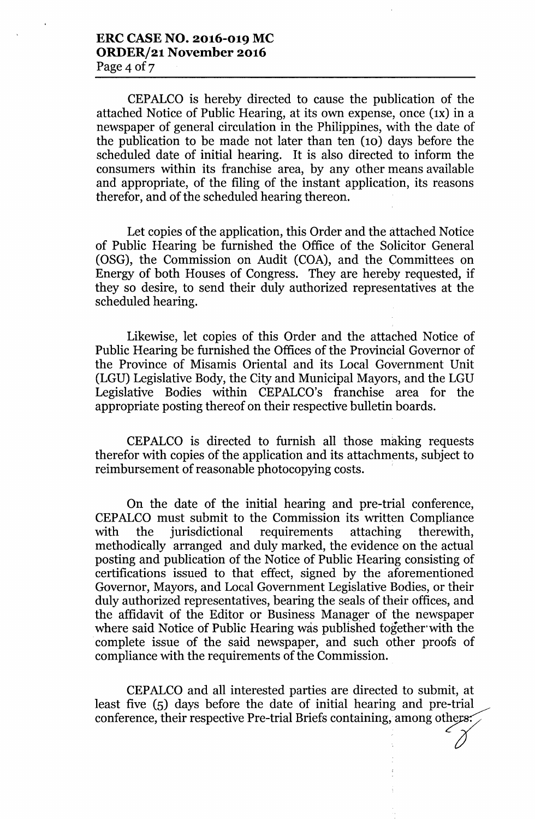CEPALCO is hereby directed to cause the publication of the attached Notice of Public Hearing, at its own expense, once (IX) in a newspaper of general circulation in the Philippines, with the date of the publication to be made not later than ten (10) days before the scheduled date of initial hearing. It is also directed to inform the consumers within its franchise area, by any other means available and appropriate, of the filing of the instant application, its reasons therefor, and of the scheduled hearing thereon.

Let copies of the application, this Order and the attached Notice of Public Hearing be furnished the Office of the Solicitor General (OSG), the Commission on Audit (COA), and the Committees on Energy of both Houses of Congress. They are hereby requested, if they so desire, to send their duly authorized representatives at the scheduled hearing.

Likewise, let copies of this Order and the attached Notice of Public Hearing be furnished the Offices of the Provincial Governor of the Province of Misamis Oriental and its Local Government Unit (LGU) Legislative Body, the City and Municipal Mayors, and the LGU Legislative Bodies within CEPALCO's franchise area for the appropriate posting thereof on their respective bulletin boards.

CEPALCO is directed to furnish all those making requests therefor with copies of the application and its attachments, subject to reimbursement of reasonable photocopying costs.

On the date of the initial hearing and pre-trial conference, CEPALCO must submit to the Commission its written Compliance with the jurisdictional requirements attaching therewith, methodically arranged and duly marked, the evidence on the actual posting and publication of the Notice of Public Hearing consisting of certifications issued to that effect, signed by the aforementioned Governor, Mayors, and Local Government Legislative Bodies, or their duly authorized representatives, bearing the seals of their offices, and the affidavit of the Editor or Business Manager of the newspaper where said Notice of Public Hearing was published together with the complete issue of the said newspaper, and such other proofs of compliance with the requirements of the Commission.

CEPALCO and all interested parties are directed to submit, at least five (5) days before the date of initial hearing and pre-trial CEPALCO and all interested parties are directed to submit, at<br>least five  $(5)$  days before the date of initial hearing and pre-trial<br>conference, their respective Pre-trial Briefs containing, among others: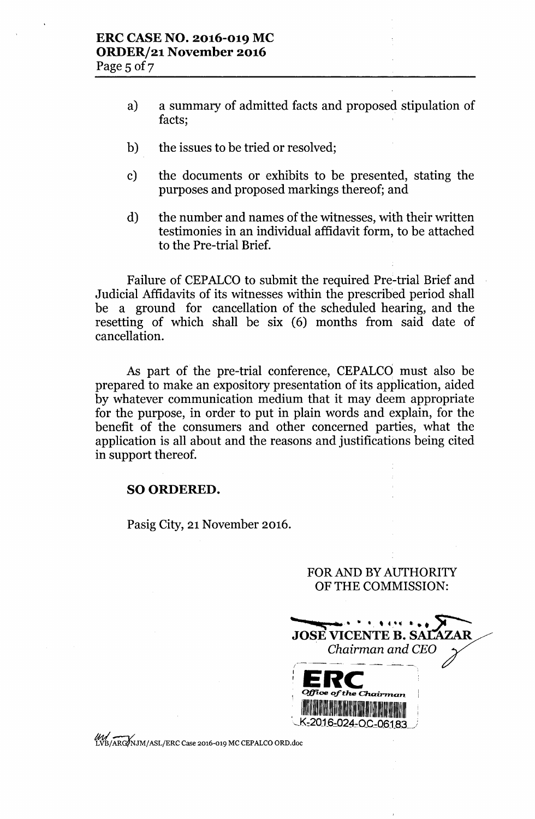- a) a summary of admitted facts and proposed stipulation of facts;
- b) the issues to be tried or resolved;
- c) the documents or exhibits to be presented, stating the purposes and proposed markings thereof; and
- d) the number and names of the witnesses, with their written testimonies in an individual affidavit form, to be attached to the Pre-trial Brief.

Failure of CEPALCO to submit the required Pre-trial Brief and Judicial Affidavits of its witnesses within the prescribed period shall be a ground for cancellation of the scheduled hearing, and the resetting of which shall be six (6) months from said date of cancellation.

As part of the pre-trial conference, CEPALCO must also be prepared to make an expository presentation of its application, aided by whatever communication medium that it may deem appropriate for the purpose, in order to put in plain words and explain, for the benefit of the consumers and other concerned parties, what the application is all about and the reasons and justifications being cited in support thereof.

#### SO ORDERED.

Pasig City, 21 November 2016.

FOR AND BY AUTHORITY OF THE COMMISSION:



~/Ai~JM/ASL/ERC Case 2016-019 MC CEPALCO ORD.doc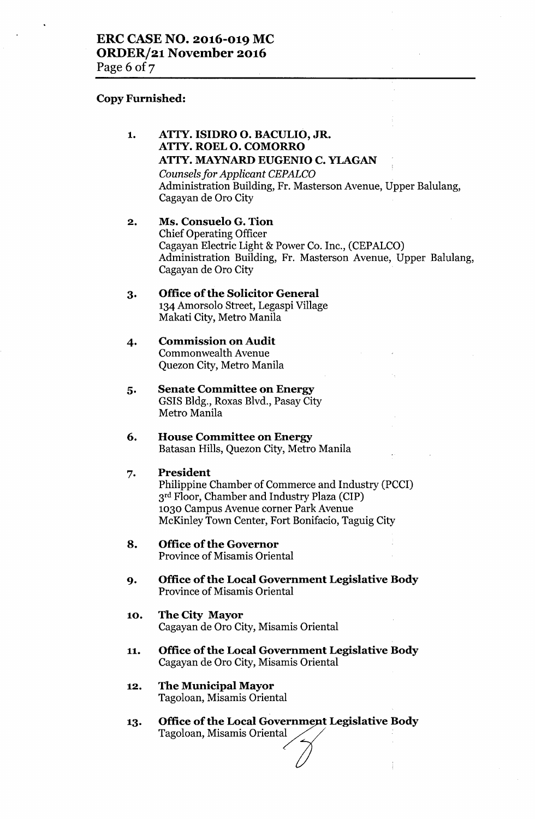#### Copy Furnished:

2.

#### 1. ATfY. ISIDRO O. BACULIO, JR. ATfY. ROEL O. COMORRO ATfY. MAYNARDEUGENIO C. YIAGAN *Counsels for Applicant CEPALCa* Administration Building, Fr. Masterson Avenue, Upper Balulang, Cagayan de Oro City

Ms. Consuelo G. Tion Chief Operating Officer Cagayan Electric Light & Power Co. Inc., (CEPALCO) Administration Building, Fr. Masterson Avenue, Upper Balulang, Cagayan de Oro City

#### 3. Office of the Solicitor General 134 Amorsolo Street, Legaspi Village Makati City, Metro Manila

- 4. Commission on Audit Commonwealth Avenue Quezon City, Metro Manila
- 5. Senate Committee on Energy GSIS Bldg., Roxas Blvd., Pasay City Metro Manila
- 6. House Committee on Energy Batasan Hills, Quezon City, Metro Manila

#### 7. President

Philippine Chamber of Commerce and Industry (PCCI) 3<sup>rd</sup> Floor, Chamber and Industry Plaza (CIP) 1030 Campus Avenue corner Park Avenue McKinley Town Center, Fort Bonifacio, Taguig City

- 8. Office of the Governor Province of Misamis Oriental
- 9. Office of the Local Government Legislative Body Province of Misamis Oriental
- 10. The City Mayor Cagayan de Oro City, Misamis Oriental
- 11. Office of the Local Government Legislative Body Cagayan de Oro City, Misamis Oriental
- 12. The Municipal Mayor Tagoloan, Misamis Oriental
- 13. Office of the Local Government Legislative Body Tagoloan, Misamis Oriental